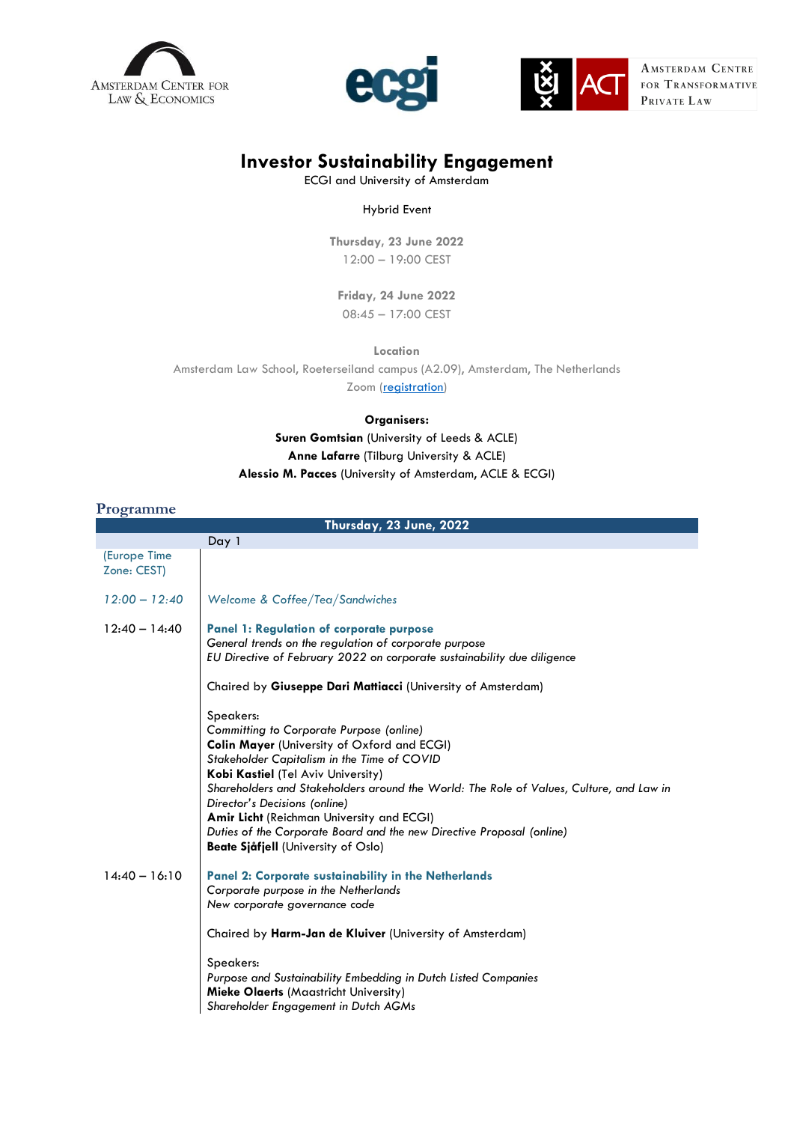





AMSTERDAM CENTRE FOR TRANSFORMATIVE PRIVATE LAW

## **Investor Sustainability Engagement**

ECGI and University of Amsterdam

## Hybrid Event

**Thursday, 23 June 2022** 12:00 – 19:00 CEST

**Friday, 24 June 2022** 08:45 – 17:00 CEST

**Location**

Amsterdam Law School, Roeterseiland campus (A2.09), Amsterdam, The Netherlands Zoom [\(registration\)](https://uva-live.zoom.us/webinar/register/WN_2T5Vh2IYQLays2EPc3EoiQ)

## **Organisers:**

**Suren Gomtsian** (U[niversity of Le](https://uva-live.zoom.us/webinar/register/WN_2T5Vh2IYQLays2EPc3EoiQ)eds & ACLE) **Anne Lafarre** (Tilburg University & ACLE) **Alessio M. Pacces** (University of Amsterdam, ACLE & ECGI)

## **Programme**

| Thursday, 23 June, 2022     |                                                                                                                                                                                                                                                                                                                                                                                                                                                                                                  |  |
|-----------------------------|--------------------------------------------------------------------------------------------------------------------------------------------------------------------------------------------------------------------------------------------------------------------------------------------------------------------------------------------------------------------------------------------------------------------------------------------------------------------------------------------------|--|
|                             | Day 1                                                                                                                                                                                                                                                                                                                                                                                                                                                                                            |  |
| (Europe Time<br>Zone: CEST) |                                                                                                                                                                                                                                                                                                                                                                                                                                                                                                  |  |
| $12:00 - 12:40$             | Welcome & Coffee/Tea/Sandwiches                                                                                                                                                                                                                                                                                                                                                                                                                                                                  |  |
| $12:40 - 14:40$             | <b>Panel 1: Regulation of corporate purpose</b><br>General trends on the regulation of corporate purpose<br>EU Directive of February 2022 on corporate sustainability due diligence                                                                                                                                                                                                                                                                                                              |  |
|                             | Chaired by Giuseppe Dari Mattiacci (University of Amsterdam)                                                                                                                                                                                                                                                                                                                                                                                                                                     |  |
|                             | Speakers:<br><b>Committing to Corporate Purpose (online)</b><br><b>Colin Mayer (University of Oxford and ECGI)</b><br>Stakeholder Capitalism in the Time of COVID<br>Kobi Kastiel (Tel Aviv University)<br>Shareholders and Stakeholders around the World: The Role of Values, Culture, and Law in<br>Director's Decisions (online)<br>Amir Licht (Reichman University and ECGI)<br>Duties of the Corporate Board and the new Directive Proposal (online)<br>Beate Siåfiell (University of Oslo) |  |
| $14:40 - 16:10$             | <b>Panel 2: Corporate sustainability in the Netherlands</b><br>Corporate purpose in the Netherlands<br>New corporate governance code                                                                                                                                                                                                                                                                                                                                                             |  |
|                             | Chaired by Harm-Jan de Kluiver (University of Amsterdam)                                                                                                                                                                                                                                                                                                                                                                                                                                         |  |
|                             | Speakers:<br>Purpose and Sustainability Embedding in Dutch Listed Companies<br><b>Mieke Olaerts (Maastricht University)</b><br>Shareholder Engagement in Dutch AGMs                                                                                                                                                                                                                                                                                                                              |  |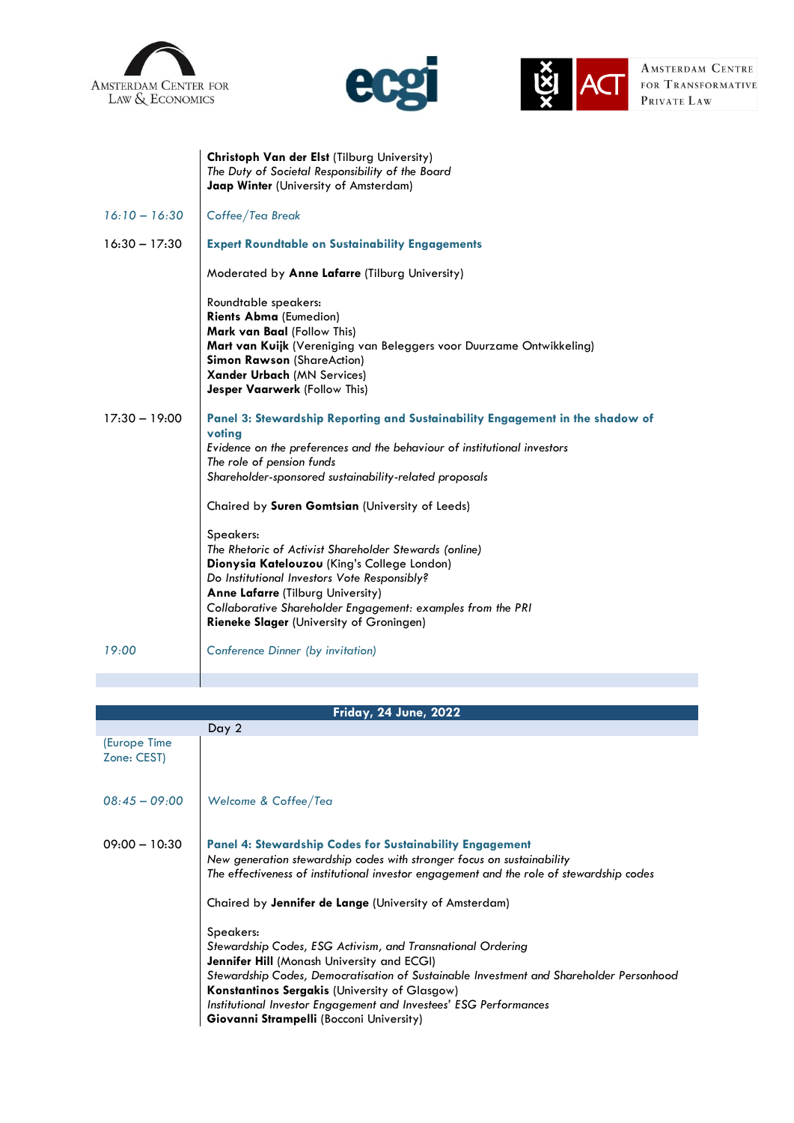

**Contract Contract** 





AMSTERDAM CENTRE FOR TRANSFORMATIVE PRIVATE LAW

|                 | Christoph Van der Elst (Tilburg University)<br>The Duty of Societal Responsibility of the Board<br>Jaap Winter (University of Amsterdam)                                                                                                                                                                           |
|-----------------|--------------------------------------------------------------------------------------------------------------------------------------------------------------------------------------------------------------------------------------------------------------------------------------------------------------------|
| $16:10 - 16:30$ | Coffee/Tea Break                                                                                                                                                                                                                                                                                                   |
| $16:30 - 17:30$ | <b>Expert Roundtable on Sustainability Engagements</b>                                                                                                                                                                                                                                                             |
|                 | Moderated by Anne Lafarre (Tilburg University)                                                                                                                                                                                                                                                                     |
|                 | Roundtable speakers:<br><b>Rients Abma (Eumedion)</b><br><b>Mark van Baal (Follow This)</b><br>Mart van Kuijk (Vereniging van Beleggers voor Duurzame Ontwikkeling)<br><b>Simon Rawson (ShareAction)</b><br>Xander Urbach (MN Services)<br>Jesper Vaarwerk (Follow This)                                           |
| $17:30 - 19:00$ | Panel 3: Stewardship Reporting and Sustainability Engagement in the shadow of<br>voting<br>Evidence on the preferences and the behaviour of institutional investors<br>The role of pension funds<br>Shareholder-sponsored sustainability-related proposals<br>Chaired by Suren Gomtsian (University of Leeds)      |
|                 | Speakers:<br>The Rhetoric of Activist Shareholder Stewards (online)<br>Dionysia Katelouzou (King's College London)<br>Do Institutional Investors Vote Responsibly?<br>Anne Lafarre (Tilburg University)<br>Collaborative Shareholder Engagement: examples from the PRI<br>Rieneke Slager (University of Groningen) |
| 19:00           | Conference Dinner (by invitation)                                                                                                                                                                                                                                                                                  |

| <b>Friday, 24 June, 2022</b> |                                                                                                                                                                                                                                                                                                                                                                                                                                                                                                                                                                                     |  |  |
|------------------------------|-------------------------------------------------------------------------------------------------------------------------------------------------------------------------------------------------------------------------------------------------------------------------------------------------------------------------------------------------------------------------------------------------------------------------------------------------------------------------------------------------------------------------------------------------------------------------------------|--|--|
|                              | Day 2                                                                                                                                                                                                                                                                                                                                                                                                                                                                                                                                                                               |  |  |
| (Europe Time<br>Zone: CEST)  |                                                                                                                                                                                                                                                                                                                                                                                                                                                                                                                                                                                     |  |  |
| $08:45 - 09:00$              | Welcome & Coffee/Tea                                                                                                                                                                                                                                                                                                                                                                                                                                                                                                                                                                |  |  |
| $09:00 - 10:30$              | <b>Panel 4: Stewardship Codes for Sustainability Engagement</b><br>New generation stewardship codes with stronger focus on sustainability<br>The effectiveness of institutional investor engagement and the role of stewardship codes<br>Chaired by <b>Jennifer de Lange</b> (University of Amsterdam)<br>Speakers:<br>Stewardship Codes, ESG Activism, and Transnational Ordering<br><b>Jennifer Hill</b> (Monash University and ECGI)<br>Stewardship Codes, Democratisation of Sustainable Investment and Shareholder Personhood<br>Konstantinos Sergakis (University of Glasgow) |  |  |
|                              | Institutional Investor Engagement and Investees' ESG Performances<br>Giovanni Strampelli (Bocconi University)                                                                                                                                                                                                                                                                                                                                                                                                                                                                       |  |  |